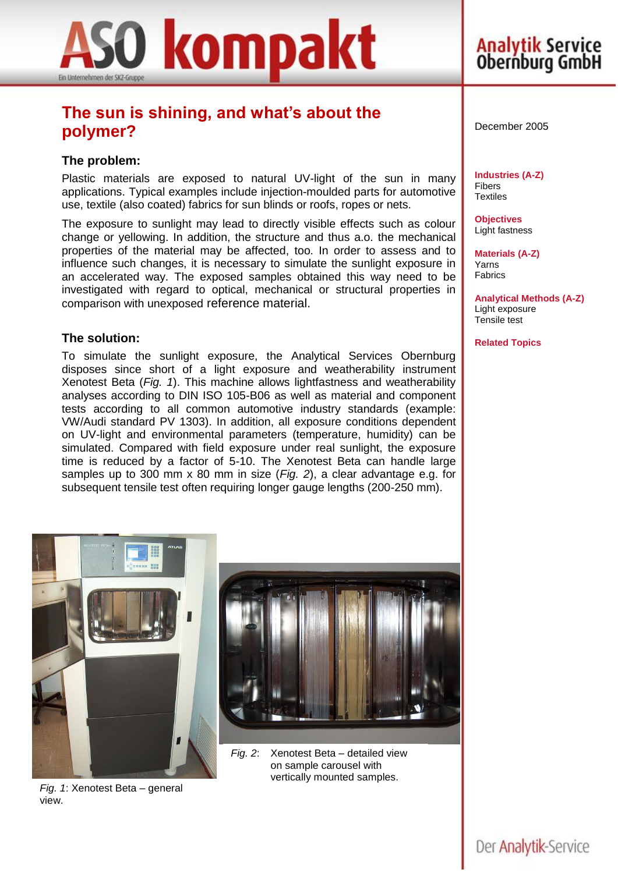

## **The sun is shining, and what's about the polymer?**

### **The problem:**

Plastic materials are exposed to natural UV-light of the sun in many applications. Typical examples include injection-moulded parts for automotive use, textile (also coated) fabrics for sun blinds or roofs, ropes or nets.

The exposure to sunlight may lead to directly visible effects such as colour change or yellowing. In addition, the structure and thus a.o. the mechanical properties of the material may be affected, too. In order to assess and to influence such changes, it is necessary to simulate the sunlight exposure in an accelerated way. The exposed samples obtained this way need to be investigated with regard to optical, mechanical or structural properties in comparison with unexposed reference material.

#### **The solution:**

To simulate the sunlight exposure, the Analytical Services Obernburg disposes since short of a light exposure and weatherability instrument Xenotest Beta (*Fig. 1*). This machine allows lightfastness and weatherability analyses according to DIN ISO 105-B06 as well as material and component tests according to all common automotive industry standards (example: VW/Audi standard PV 1303). In addition, all exposure conditions dependent on UV-light and environmental parameters (temperature, humidity) can be simulated. Compared with field exposure under real sunlight, the exposure time is reduced by a factor of 5-10. The Xenotest Beta can handle large samples up to 300 mm x 80 mm in size (*Fig. 2*), a clear advantage e.g. for subsequent tensile test often requiring longer gauge lengths (200-250 mm).



**Analytik Service**<br>Obernburg GmbH

**Industries (A-Z)** Fibers **Textiles** 

**Objectives** Light fastness

**Materials (A-Z)** Yarns Fabrics

**Analytical Methods (A-Z)** Light exposure Tensile test

**Related Topics**



*Fig. 1*: Xenotest Beta – general view.



*Fig. 2*: Xenotest Beta – detailed view on sample carousel with vertically mounted samples.